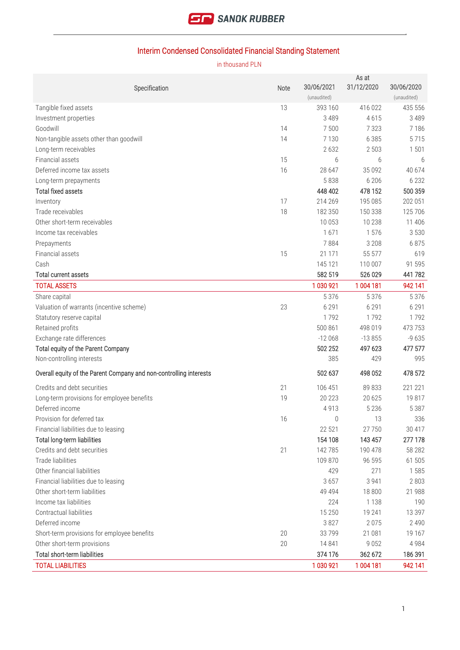

# Interim Condensed Consolidated Financial Standing Statement

in thousand PLN

 $A = -1$ 

|                                                                    |      | 30/06/2021          | AS at<br>31/12/2020 | 30/06/2020         |
|--------------------------------------------------------------------|------|---------------------|---------------------|--------------------|
| Specification                                                      | Note | (unaudited)         |                     | (unaudited)        |
| Tangible fixed assets                                              | 13   | 393 160             | 416 022             | 435 556            |
| Investment properties                                              |      | 3 4 8 9             | 4615                | 3 4 8 9            |
| Goodwill                                                           | 14   | 7500                | 7 3 2 3             | 7 1 8 6            |
| Non-tangible assets other than goodwill                            | 14   | 7 1 3 0             | 6 3 8 5             | 5715               |
| Long-term receivables                                              |      | 2632                | 2 5 0 3             | 1 501              |
| Financial assets                                                   | 15   | 6                   | 6                   | 6                  |
| Deferred income tax assets                                         | 16   | 28 647              | 35 092              | 40 674             |
| Long-term prepayments                                              |      | 5838                | 6 20 6              | 6 2 3 2            |
| <b>Total fixed assets</b>                                          |      | 448 402             | 478 152             | 500 359            |
| Inventory                                                          | 17   | 214 269             | 195 085             | 202 051            |
| Trade receivables                                                  | 18   | 182 350             | 150 338             | 125 706            |
| Other short-term receivables                                       |      | 10 0 53             | 10 238              | 11 406             |
| Income tax receivables                                             |      | 1671                | 1576                | 3 5 3 0            |
| Prepayments                                                        |      | 7884                | 3 2 0 8             | 6875               |
| Financial assets                                                   | 15   | 21 1 7 1            | 55 577              | 619                |
| Cash                                                               |      | 145 121             | 110 007             | 91 595             |
| Total current assets                                               |      | 582 519             | 526 029             | 441782             |
| <b>TOTAL ASSETS</b>                                                |      | 1 030 921           | 1 004 181           | 942 141            |
|                                                                    |      | 5 3 7 6             | 5 3 7 6             | 5 3 7 6            |
| Share capital                                                      |      |                     |                     |                    |
| Valuation of warrants (incentive scheme)                           | 23   | 6 2 9 1             | 6 2 9 1             | 6 2 9 1            |
| Statutory reserve capital                                          |      | 1792                | 1792                | 1792               |
| Retained profits                                                   |      | 500 861             | 498 019             | 473 753            |
| Exchange rate differences                                          |      | $-12068$<br>502 252 | $-13855$<br>497 623 | $-9635$<br>477 577 |
| Total equity of the Parent Company<br>Non-controlling interests    |      | 385                 | 429                 | 995                |
|                                                                    |      |                     |                     |                    |
| Overall equity of the Parent Company and non-controlling interests |      | 502 637             | 498 052             | 478 572            |
| Credits and debt securities                                        | 21   | 106 451             | 89 833              | 221 221            |
| Long-term provisions for employee benefits                         | 19   | 20 223              | 20 6 25             | 19817              |
| Deferred income                                                    |      | 4913                | 5 2 3 6             | 5 3 8 7            |
| Provision for deferred tax                                         | 16   | 0                   | 13                  | 336                |
| Financial liabilities due to leasing                               |      | 22 521              | 27750               | 30 417             |
| Total long-term liabilities                                        |      | 154 108             | 143 457             | 277 178            |
| Credits and debt securities                                        | 21   | 142 785             | 190 478             | 58 282             |
| Trade liabilities                                                  |      | 109 870             | 96 595              | 61 505             |
| Other financial liabilities                                        |      | 429                 | 271                 | 1585               |
| Financial liabilities due to leasing                               |      | 3657                | 3 9 4 1             | 2 8 0 3            |
| Other short-term liabilities                                       |      | 49 4 94             | 18 800              | 21 988             |
| Income tax liabilities                                             |      | 224                 | 1 1 3 8             | 190                |
| Contractual liabilities                                            |      | 15 2 50             | 19 241              | 13 397             |
| Deferred income                                                    |      | 3827                | 2075                | 2 4 9 0            |
| Short-term provisions for employee benefits                        | 20   | 33799               | 21 081              | 19 167             |
| Other short-term provisions                                        | 20   | 14 841              | 9052                | 4 9 8 4            |
| Total short-term liabilities                                       |      | 374 176             | 362 672             | 186 391            |
| <b>TOTAL LIABILITIES</b>                                           |      | 1 030 921           | 1 004 181           | 942 141            |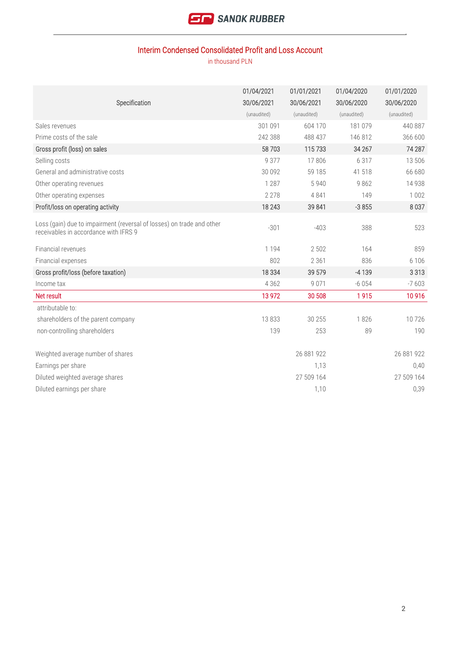

## Interim Condensed Consolidated Profit and Loss Account

|                                                                                                                | 01/04/2021  | 01/01/2021  | 01/04/2020  | 01/01/2020  |
|----------------------------------------------------------------------------------------------------------------|-------------|-------------|-------------|-------------|
| Specification                                                                                                  | 30/06/2021  | 30/06/2021  | 30/06/2020  | 30/06/2020  |
|                                                                                                                | (unaudited) | (unaudited) | (unaudited) | (unaudited) |
| Sales revenues                                                                                                 | 301 091     | 604 170     | 181 079     | 440 887     |
| Prime costs of the sale                                                                                        | 242 388     | 488 437     | 146 812     | 366 600     |
| Gross profit (loss) on sales                                                                                   | 58 703      | 115733      | 34 267      | 74 287      |
| Selling costs                                                                                                  | 9 3 7 7     | 17806       | 6 3 1 7     | 13 506      |
| General and administrative costs                                                                               | 30 092      | 59 185      | 41 518      | 66 680      |
| Other operating revenues                                                                                       | 1 2 8 7     | 5940        | 9862        | 14 9 38     |
| Other operating expenses                                                                                       | 2 2 7 8     | 4841        | 149         | 1 0 0 2     |
| Profit/loss on operating activity                                                                              | 18 2 43     | 39 841      | $-3855$     | 8 0 3 7     |
| Loss (gain) due to impairment (reversal of losses) on trade and other<br>receivables in accordance with IFRS 9 | $-301$      | $-403$      | 388         | 523         |
| Financial revenues                                                                                             | 1 1 9 4     | 2 5 0 2     | 164         | 859         |
| Financial expenses                                                                                             | 802         | 2 3 6 1     | 836         | 6 1 0 6     |
| Gross profit/loss (before taxation)                                                                            | 18 3 34     | 39 579      | $-4139$     | 3 3 1 3     |
| Income tax                                                                                                     | 4 3 6 2     | 9 0 7 1     | $-6054$     | $-7603$     |
| Net result                                                                                                     | 13 972      | 30 508      | 1915        | 10916       |
| attributable to:                                                                                               |             |             |             |             |
| shareholders of the parent company                                                                             | 13833       | 30 255      | 1826        | 10726       |
| non-controlling shareholders                                                                                   | 139         | 253         | 89          | 190         |
|                                                                                                                |             |             |             |             |
| Weighted average number of shares                                                                              |             | 26 881 922  |             | 26 881 922  |
| Earnings per share                                                                                             |             | 1,13        |             | 0,40        |
| Diluted weighted average shares                                                                                |             | 27 509 164  |             | 27 509 164  |
| Diluted earnings per share                                                                                     |             | 1,10        |             | 0,39        |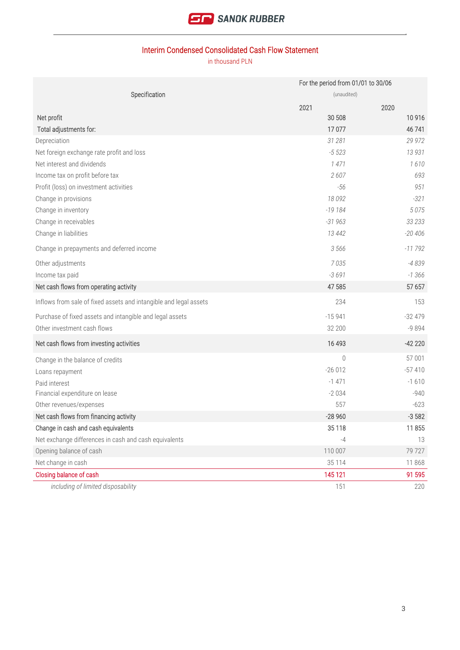

## Interim Condensed Consolidated Cash Flow Statement

|                                                                   |             | For the period from 01/01 to 30/06 |  |  |
|-------------------------------------------------------------------|-------------|------------------------------------|--|--|
| Specification                                                     | (unaudited) |                                    |  |  |
|                                                                   | 2021        | 2020                               |  |  |
| Net profit                                                        | 30 508      | 10916                              |  |  |
| Total adjustments for:                                            | 17077       | 46 741                             |  |  |
| Depreciation                                                      | 31 281      | 29 972                             |  |  |
| Net foreign exchange rate profit and loss                         | $-5523$     | 13 931                             |  |  |
| Net interest and dividends                                        | 1471        | 1610                               |  |  |
| Income tax on profit before tax                                   | 2607        | 693                                |  |  |
| Profit (loss) on investment activities                            | $-56$       | 951                                |  |  |
| Change in provisions                                              | 18 092      | $-321$                             |  |  |
| Change in inventory                                               | $-19184$    | 5075                               |  |  |
| Change in receivables                                             | $-31963$    | 33 233                             |  |  |
| Change in liabilities                                             | 13 4 42     | $-20406$                           |  |  |
| Change in prepayments and deferred income                         | 3 5 6 6     | $-11792$                           |  |  |
| Other adjustments                                                 | 7035        | $-4839$                            |  |  |
| Income tax paid                                                   | $-3691$     | $-1366$                            |  |  |
| Net cash flows from operating activity                            | 47 585      | 57 657                             |  |  |
| Inflows from sale of fixed assets and intangible and legal assets | 234         | 153                                |  |  |
| Purchase of fixed assets and intangible and legal assets          | $-15941$    | $-32479$                           |  |  |
| Other investment cash flows                                       | 32 200      | $-9894$                            |  |  |
| Net cash flows from investing activities                          | 16 493      | $-42220$                           |  |  |
| Change in the balance of credits                                  | 0           | 57 001                             |  |  |
| Loans repayment                                                   | $-26012$    | $-57410$                           |  |  |
| Paid interest                                                     | $-1471$     | $-1610$                            |  |  |
| Financial expenditure on lease                                    | $-2034$     | $-940$                             |  |  |
| Other revenues/expenses                                           | 557         | $-623$                             |  |  |
| Net cash flows from financing activity                            | $-28960$    | $-3582$                            |  |  |
| Change in cash and cash equivalents                               | 35 1 18     | 11 855                             |  |  |
| Net exchange differences in cash and cash equivalents             | $-4$        | 13                                 |  |  |
| Opening balance of cash                                           | 110 007     | 79727                              |  |  |
| Net change in cash                                                | 35 1 14     | 11868                              |  |  |
| Closing balance of cash                                           | 145 121     | 91 595                             |  |  |
| including of limited disposability                                | 151         | 220                                |  |  |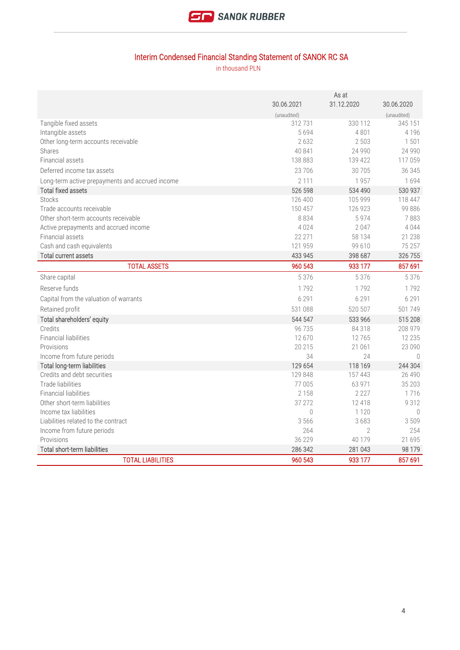

# Interim Condensed Financial Standing Statement of SANOK RC SA

|                                                          | As at              |                    |                   |
|----------------------------------------------------------|--------------------|--------------------|-------------------|
|                                                          | 30.06.2021         | 31.12.2020         | 30.06.2020        |
|                                                          | (unaudited)        |                    | (unaudited)       |
| Tangible fixed assets                                    | 312731             | 330 112            | 345 151           |
| Intangible assets                                        | 5694               | 4801               | 4 1 9 6           |
| Other long-term accounts receivable                      | 2 6 3 2            | 2 5 0 3            | 1501              |
| Shares                                                   | 40 841             | 24 9 9 0           | 24 990            |
| Financial assets                                         | 138 883            | 139 422            | 117 059           |
| Deferred income tax assets                               | 23706              | 30705              | 36 345            |
| Long-term active prepayments and accrued income          | 2 1 1 1            | 1957               | 1694              |
| <b>Total fixed assets</b>                                | 526 598            | 534 490            | 530 937           |
| <b>Stocks</b>                                            | 126 400            | 105 999            | 118 447           |
| Trade accounts receivable                                | 150 457            | 126 923            | 99 886            |
| Other short-term accounts receivable                     | 8834               | 5974               | 7883              |
| Active prepayments and accrued income                    | 4024               | 2047               | 4044              |
| Financial assets                                         | 22 271             | 58 134             | 21 238            |
| Cash and cash equivalents                                | 121 959            | 99 610             | 75 257            |
| Total current assets                                     | 433 945            | 398 687            | 326 755           |
| <b>TOTAL ASSETS</b>                                      | 960 543            | 933 177            | 857 691           |
| Share capital                                            | 5 3 7 6            | 5 3 7 6            | 5 3 7 6           |
| Reserve funds                                            | 1792               | 1792               | 1792              |
| Capital from the valuation of warrants                   | 6 2 9 1            | 6 2 9 1            | 6 2 9 1           |
| Retained profit                                          | 531 088            | 520 507            | 501749            |
| Total shareholders' equity                               | 544 547            | 533 966            | 515 208           |
| Credits                                                  | 96 735             | 84318              | 208 979           |
| <b>Financial liabilities</b>                             | 12670              | 12765              | 12 2 3 5          |
| Provisions                                               | 20 215             | 21 061             | 23 090            |
| Income from future periods                               | 34                 | 24                 | $\bigcap$         |
| <b>Total long-term liabilities</b>                       | 129 654            | 118 169            | 244 304           |
| Credits and debt securities                              | 129 848            | 157 443            | 26 490            |
| Trade liabilities                                        | 77 005             | 63 971             | 35 203            |
| <b>Financial liabilities</b>                             | 2 1 5 8            | 2 2 2 7            | 1716              |
| Other short-term liabilities                             | 37 27 2            | 12418              | 9312              |
| Income tax liabilities                                   | $\Omega$           | 1 1 2 0            | $\bigcirc$        |
|                                                          |                    |                    |                   |
| Liabilities related to the contract                      | 3 566              | 3683               | 3509              |
| Income from future periods                               | 264                | $\overline{2}$     | 254               |
| Provisions                                               | 36 229             | 40 179             | 21 695            |
| Total short-term liabilities<br><b>TOTAL LIABILITIES</b> | 286 342<br>960 543 | 281 043<br>933 177 | 98 179<br>857 691 |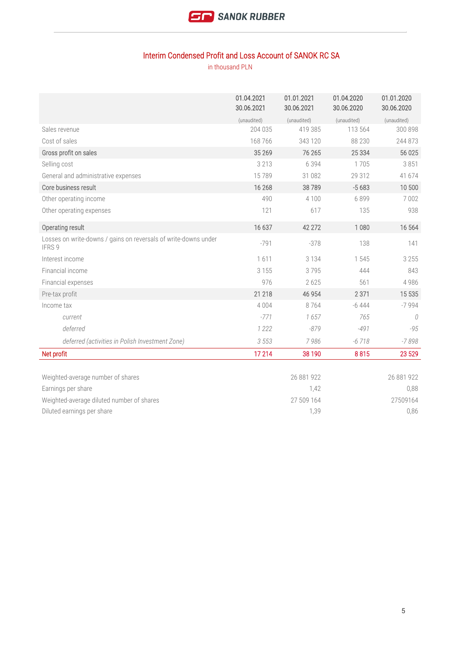

### Interim Condensed Profit and Loss Account of SANOK RC SA

|                                                                           | 01.04.2021<br>30.06.2021 | 01.01.2021<br>30.06.2021 | 01.04.2020<br>30.06.2020 | 01.01.2020<br>30.06.2020 |
|---------------------------------------------------------------------------|--------------------------|--------------------------|--------------------------|--------------------------|
|                                                                           | (unaudited)              | (unaudited)              | (unaudited)              | (unaudited)              |
| Sales revenue                                                             | 204 035                  | 419 385                  | 113 564                  | 300 898                  |
| Cost of sales                                                             | 168 766                  | 343 120                  | 88 230                   | 244 873                  |
| Gross profit on sales                                                     | 35 26 9                  | 76 265                   | 25 3 34                  | 56 025                   |
| Selling cost                                                              | 3 2 1 3                  | 6 3 9 4                  | 1705                     | 3851                     |
| General and administrative expenses                                       | 15789                    | 31 082                   | 29 312                   | 41 674                   |
| Core business result                                                      | 16 268                   | 38789                    | $-5683$                  | 10 500                   |
| Other operating income                                                    | 490                      | 4 1 0 0                  | 6899                     | 7 0 0 2                  |
| Other operating expenses                                                  | 121                      | 617                      | 135                      | 938                      |
| Operating result                                                          | 16 637                   | 42 27 2                  | 1 0 8 0                  | 16 564                   |
| Losses on write-downs / gains on reversals of write-downs under<br>IFRS 9 | $-791$                   | $-378$                   | 138                      | 141                      |
| Interest income                                                           | 1611                     | 3 1 3 4                  | 1545                     | 3 2 5 5                  |
| Financial income                                                          | 3 1 5 5                  | 3795                     | 444                      | 843                      |
| Financial expenses                                                        | 976                      | 2625                     | 561                      | 4 9 8 6                  |
| Pre-tax profit                                                            | 21 218                   | 46 954                   | 2 3 7 1                  | 15 5 35                  |
| Income tax                                                                | 4 0 0 4                  | 8764                     | $-6444$                  | $-7994$                  |
| current                                                                   | $-771$                   | 1657                     | 765                      | $\Omega$                 |
| deferred                                                                  | 1 2 2 2                  | $-879$                   | $-491$                   | $-95$                    |
| deferred (activities in Polish Investment Zone)                           | 3 5 5 3                  | 7986                     | $-6718$                  | $-7898$                  |
| Net profit                                                                | 17 214                   | 38 190                   | 8815                     | 23 5 29                  |
| Weighted-average number of shares                                         |                          | 26 881 922               |                          | 26 881 922               |
| Earnings per share                                                        |                          | 1,42                     |                          | 0,88                     |
| Weighted-average diluted number of shares                                 |                          | 27 509 164               |                          | 27509164                 |
| Diluted earnings per share                                                |                          | 1,39                     |                          | 0,86                     |